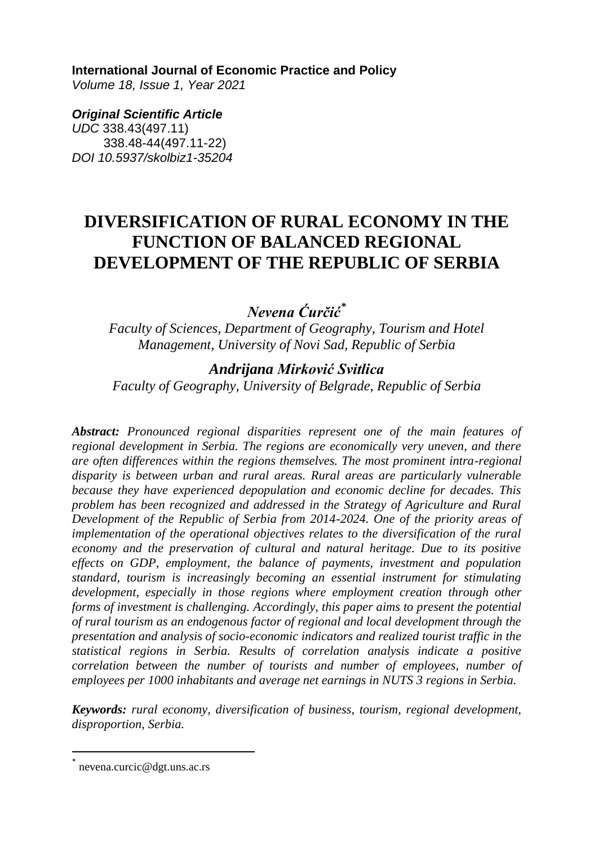#### **International Journal of Economic Practice and Policy**

*Volume 18, Issue 1, Year 2021* 

*Original Scientific Article UDC* 338.43(497.11) 338.48-44(497.11-22) *DOI 10.5937/skolbiz1-35204*

# **DIVERSIFICATION OF RURAL ECONOMY IN THE FUNCTION OF BALANCED REGIONAL DEVELOPMENT OF THE REPUBLIC OF SERBIA**

*Nevena Ćurčić\**

*Faculty of Sciences, Department of Geography, Tourism and Hotel Management, University of Novi Sad, Republic of Serbia*

*Andrijana Mirković Svitlica Faculty of Geography, University of Belgrade, Republic of Serbia*

*Abstract: Pronounced regional disparities represent one of the main features of regional development in Serbia. The regions are economically very uneven, and there are often differences within the regions themselves. The most prominent intra-regional disparity is between urban and rural areas. Rural areas are particularly vulnerable because they have experienced depopulation and economic decline for decades. This problem has been recognized and addressed in the Strategy of Agriculture and Rural Development of the Republic of Serbia from 2014-2024. One of the priority areas of implementation of the operational objectives relates to the diversification of the rural economy and the preservation of cultural and natural heritage. Due to its positive effects on GDP, employment, the balance of payments, investment and population standard, tourism is increasingly becoming an essential instrument for stimulating development, especially in those regions where employment creation through other forms of investment is challenging. Accordingly, this paper aims to present the potential of rural tourism as an endogenous factor of regional and local development through the presentation and analysis of socio-economic indicators and realized tourist traffic in the statistical regions in Serbia. Results of correlation analysis indicate a positive correlation between the number of tourists and number of employees, number of employees per 1000 inhabitants and average net earnings in NUTS 3 regions in Serbia.*

*Keywords: rural economy, diversification of business, tourism, regional development, disproportion, Serbia.*

 $\overline{\phantom{a}}$ 

<sup>\*</sup> nevena.curcic@dgt.uns.ac.rs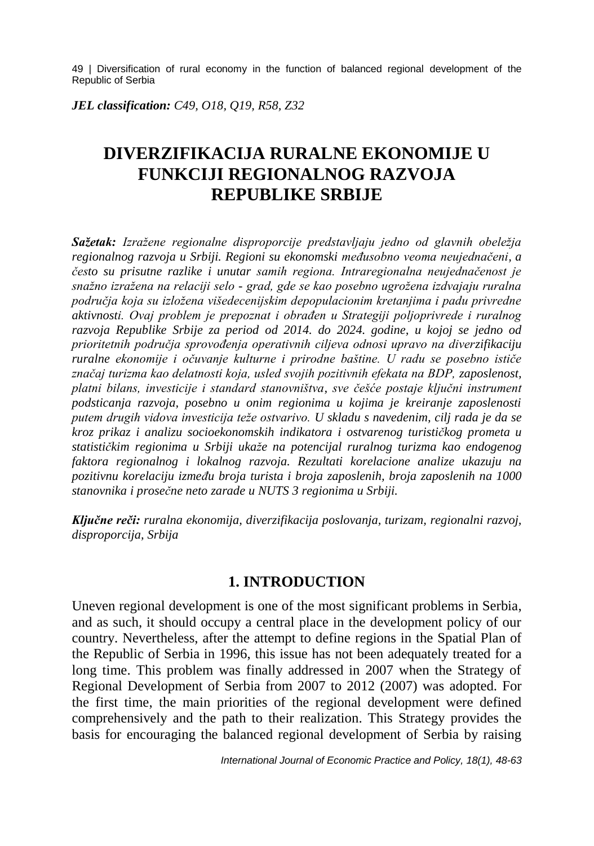*JEL classification: C49, O18, Q19, R58, Z32*

# **DIVERZIFIKACIJA RURALNE EKONOMIJE U FUNKCIJI REGIONALNOG RAZVOJA REPUBLIKE SRBIJE**

*Sažetak: Izražene regionalne disproporcije predstavljaju jedno od glavnih obeležja regionalnog razvoja u Srbiji. Regioni su ekonomski međusobno veoma neujednačeni, a često su prisutne razlike i unutar samih regiona. Intraregionalna neujednačenost je snažno izražena na relaciji selo - grad, gde se kao posebno ugrožena izdvajaju ruralna područja koja su izložena višedecenijskim depopulacionim kretanjima i padu privredne aktivnosti. Ovaj problem je prepoznat i obrađen u Strategiji poljoprivrede i ruralnog razvoja Republike Srbije za period od 2014. do 2024. godine, u kojoj se jedno od prioritetnih područja sprovođenja operativnih ciljeva odnosi upravo na diverzifikaciju ruralne ekonomije i očuvanje kulturne i prirodne baštine. U radu se posebno ističe značaj turizma kao delatnosti koja, usled svojih pozitivnih efekata na BDP, zaposlenost, platni bilans, investicije i standard stanovništva, sve češće postaje ključni instrument podsticanja razvoja, posebno u onim regionima u kojima je kreiranje zaposlenosti putem drugih vidova investicija teže ostvarivo. U skladu s navedenim, cilj rada je da se kroz prikaz i analizu socioekonomskih indikatora i ostvarenog turističkog prometa u statističkim regionima u Srbiji ukaže na potencijal ruralnog turizma kao endogenog faktora regionalnog i lokalnog razvoja. Rezultati korelacione analize ukazuju na pozitivnu korelaciju između broja turista i broja zaposlenih, broja zaposlenih na 1000 stanovnika i prosečne neto zarade u NUTS 3 regionima u Srbiji.*

*Ključne reči: ruralna ekonomija, diverzifikacija poslovanja, turizam, regionalni razvoj, disproporcija, Srbija*

### **1. INTRODUCTION**

Uneven regional development is one of the most significant problems in Serbia, and as such, it should occupy a central place in the development policy of our country. Nevertheless, after the attempt to define regions in the Spatial Plan of the Republic of Serbia in 1996, this issue has not been adequately treated for a long time. This problem was finally addressed in 2007 when the Strategy of Regional Development of Serbia from 2007 to 2012 (2007) was adopted. For the first time, the main priorities of the regional development were defined comprehensively and the path to their realization. This Strategy provides the basis for encouraging the balanced regional development of Serbia by raising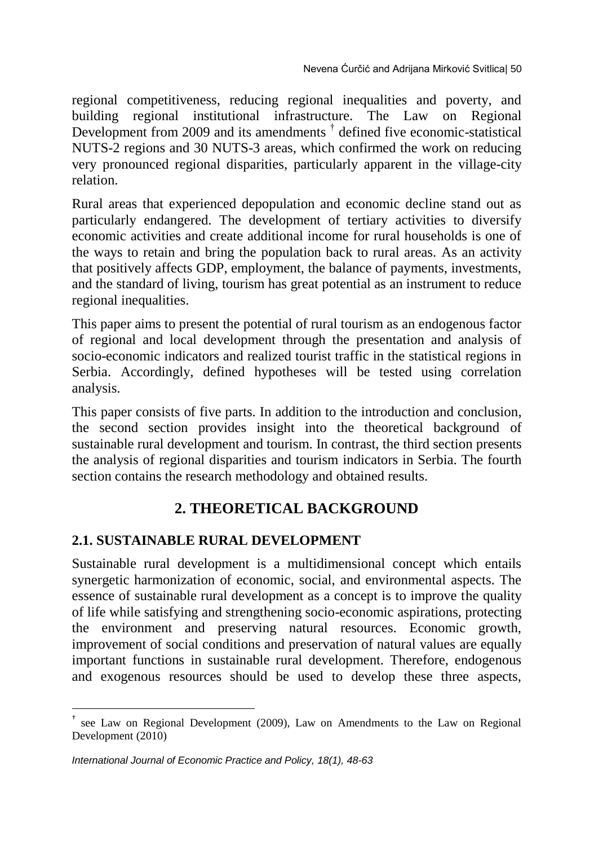regional competitiveness, reducing regional inequalities and poverty, and building regional institutional infrastructure. The Law on Regional Development from 2009 and its amendments <sup>†</sup> defined five economic-statistical NUTS-2 regions and 30 NUTS-3 areas, which confirmed the work on reducing very pronounced regional disparities, particularly apparent in the village-city relation.

Rural areas that experienced depopulation and economic decline stand out as particularly endangered. The development of tertiary activities to diversify economic activities and create additional income for rural households is one of the ways to retain and bring the population back to rural areas. As an activity that positively affects GDP, employment, the balance of payments, investments, and the standard of living, tourism has great potential as an instrument to reduce regional inequalities.

This paper aims to present the potential of rural tourism as an endogenous factor of regional and local development through the presentation and analysis of socio-economic indicators and realized tourist traffic in the statistical regions in Serbia. Accordingly, defined hypotheses will be tested using correlation analysis.

This paper consists of five parts. In addition to the introduction and conclusion, the second section provides insight into the theoretical background of sustainable rural development and tourism. In contrast, the third section presents the analysis of regional disparities and tourism indicators in Serbia. The fourth section contains the research methodology and obtained results.

# **2. THEORETICAL BACKGROUND**

## **2.1. SUSTAINABLE RURAL DEVELOPMENT**

Sustainable rural development is a multidimensional concept which entails synergetic harmonization of economic, social, and environmental aspects. The essence of sustainable rural development as a concept is to improve the quality of life while satisfying and strengthening socio-economic aspirations, protecting the environment and preserving natural resources. Economic growth, improvement of social conditions and preservation of natural values are equally important functions in sustainable rural development. Therefore, endogenous and exogenous resources should be used to develop these three aspects,

 $\overline{\phantom{a}}$ 

<sup>†</sup> see Law on Regional Development (2009), Law on Amendments to the Law on Regional Development (2010)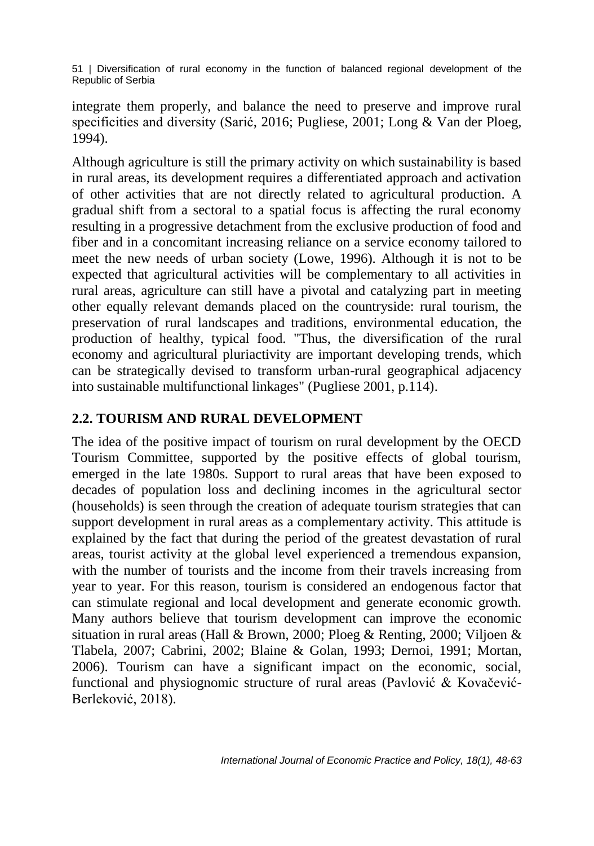integrate them properly, and balance the need to preserve and improve rural specificities and diversity (Sarić, 2016; Pugliese, 2001; Long & Van der Ploeg, 1994).

Although agriculture is still the primary activity on which sustainability is based in rural areas, its development requires a differentiated approach and activation of other activities that are not directly related to agricultural production. A gradual shift from a sectoral to a spatial focus is affecting the rural economy resulting in a progressive detachment from the exclusive production of food and fiber and in a concomitant increasing reliance on a service economy tailored to meet the new needs of urban society (Lowe, 1996). Although it is not to be expected that agricultural activities will be complementary to all activities in rural areas, agriculture can still have a pivotal and catalyzing part in meeting other equally relevant demands placed on the countryside: rural tourism, the preservation of rural landscapes and traditions, environmental education, the production of healthy, typical food. "Thus, the diversification of the rural economy and agricultural pluriactivity are important developing trends, which can be strategically devised to transform urban-rural geographical adjacency into sustainable multifunctional linkages" (Pugliese 2001, p.114).

## **2.2. TOURISM AND RURAL DEVELOPMENT**

The idea of the positive impact of tourism on rural development by the OECD Tourism Committee, supported by the positive effects of global tourism, emerged in the late 1980s. Support to rural areas that have been exposed to decades of population loss and declining incomes in the agricultural sector (households) is seen through the creation of adequate tourism strategies that can support development in rural areas as a complementary activity. This attitude is explained by the fact that during the period of the greatest devastation of rural areas, tourist activity at the global level experienced a tremendous expansion, with the number of tourists and the income from their travels increasing from year to year. For this reason, tourism is considered an endogenous factor that can stimulate regional and local development and generate economic growth. Many authors believe that tourism development can improve the economic situation in rural areas (Hall & Brown, 2000; Ploeg & Renting, 2000; Viljoen & Tlabela, 2007; Cabrini, 2002; Blaine & Golan, 1993; Dernoi, 1991; Mortan, 2006). Tourism can have a significant impact on the economic, social, functional and physiognomic structure of rural areas (Pavlović & Kovačević-Berleković, 2018).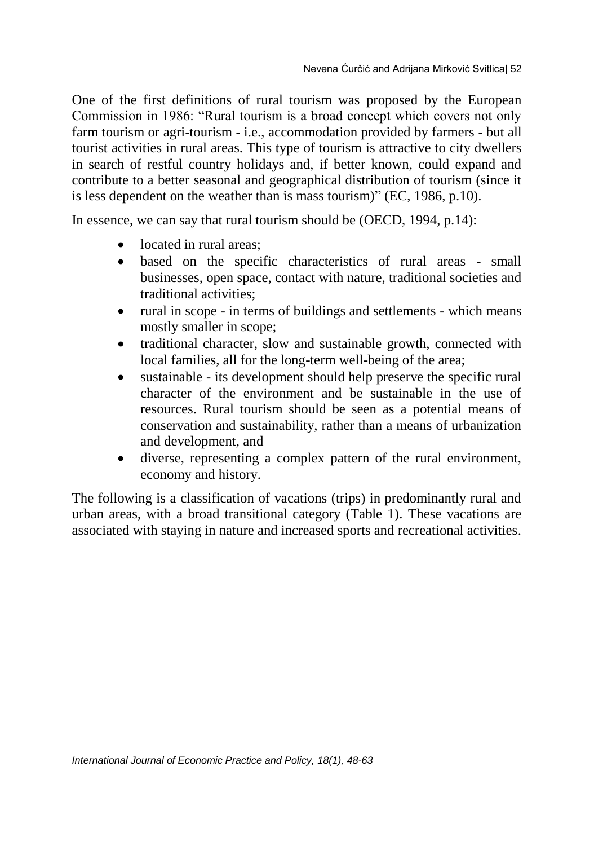One of the first definitions of rural tourism was proposed by the European Commission in 1986: "Rural tourism is a broad concept which covers not only farm tourism or agri-tourism - i.e., accommodation provided by farmers - but all tourist activities in rural areas. This type of tourism is attractive to city dwellers in search of restful country holidays and, if better known, could expand and contribute to a better seasonal and geographical distribution of tourism (since it is less dependent on the weather than is mass tourism)" (EC, 1986, p.10).

In essence, we can say that rural tourism should be (OECD, 1994, p.14):

- located in rural areas:
- based on the specific characteristics of rural areas small businesses, open space, contact with nature, traditional societies and traditional activities;
- rural in scope in terms of buildings and settlements which means mostly smaller in scope;
- traditional character, slow and sustainable growth, connected with local families, all for the long-term well-being of the area;
- sustainable its development should help preserve the specific rural character of the environment and be sustainable in the use of resources. Rural tourism should be seen as a potential means of conservation and sustainability, rather than a means of urbanization and development, and
- diverse, representing a complex pattern of the rural environment, economy and history.

The following is a classification of vacations (trips) in predominantly rural and urban areas, with a broad transitional category (Table 1). These vacations are associated with staying in nature and increased sports and recreational activities.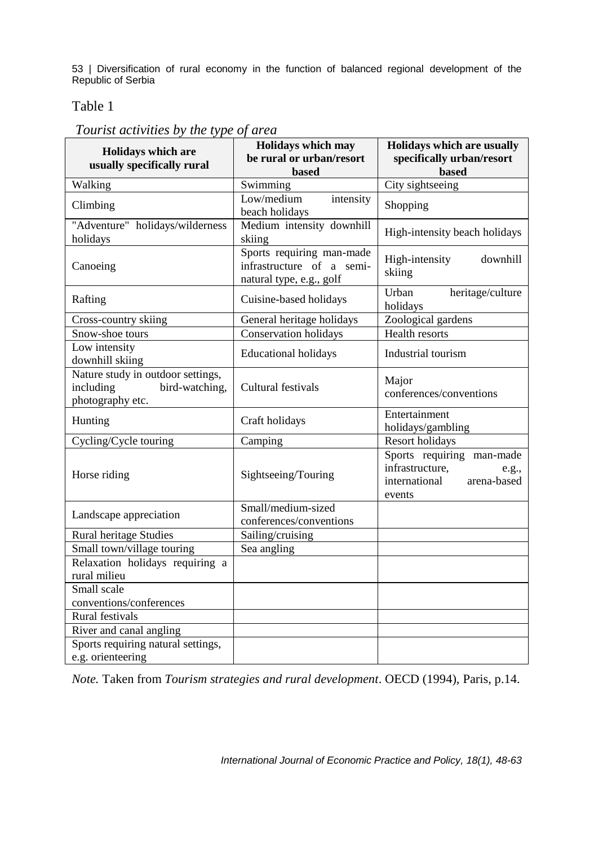#### Table 1

| <b>Holidays which are</b><br>usually specifically rural                              | Holidays which may<br>be rural or urban/resort<br><b>hased</b>                     | Holidays which are usually<br>specifically urban/resort<br><b>based</b>                         |  |
|--------------------------------------------------------------------------------------|------------------------------------------------------------------------------------|-------------------------------------------------------------------------------------------------|--|
| Walking                                                                              | Swimming                                                                           | City sightseeing                                                                                |  |
| Climbing                                                                             | Low/medium<br>intensity<br>beach holidays                                          | Shopping                                                                                        |  |
| "Adventure" holidays/wilderness<br>holidays                                          | Medium intensity downhill<br>skiing                                                | High-intensity beach holidays                                                                   |  |
| Canoeing                                                                             | Sports requiring man-made<br>infrastructure of a semi-<br>natural type, e.g., golf | High-intensity<br>downhill<br>skiing                                                            |  |
| Rafting                                                                              | Cuisine-based holidays                                                             | Urban<br>heritage/culture<br>holidays                                                           |  |
| Cross-country skiing                                                                 | General heritage holidays                                                          | Zoological gardens                                                                              |  |
| Snow-shoe tours                                                                      | Conservation holidays                                                              | Health resorts                                                                                  |  |
| Low intensity<br>downhill skiing                                                     | <b>Educational holidays</b>                                                        | Industrial tourism                                                                              |  |
| Nature study in outdoor settings,<br>including<br>bird-watching,<br>photography etc. | Cultural festivals                                                                 | Major<br>conferences/conventions                                                                |  |
| Hunting                                                                              | Craft holidays                                                                     | Entertainment<br>holidays/gambling                                                              |  |
| Cycling/Cycle touring                                                                | Camping                                                                            | <b>Resort holidays</b>                                                                          |  |
| Horse riding                                                                         | Sightseeing/Touring                                                                | Sports requiring man-made<br>infrastructure,<br>e.g.,<br>international<br>arena-based<br>events |  |
| Landscape appreciation                                                               | Small/medium-sized<br>conferences/conventions                                      |                                                                                                 |  |
| Rural heritage Studies                                                               | Sailing/cruising                                                                   |                                                                                                 |  |
| Small town/village touring                                                           | Sea angling                                                                        |                                                                                                 |  |
| Relaxation holidays requiring a<br>rural milieu                                      |                                                                                    |                                                                                                 |  |
| Small scale                                                                          |                                                                                    |                                                                                                 |  |
| conventions/conferences                                                              |                                                                                    |                                                                                                 |  |
| Rural festivals                                                                      |                                                                                    |                                                                                                 |  |
| River and canal angling                                                              |                                                                                    |                                                                                                 |  |
| Sports requiring natural settings,<br>e.g. orienteering                              |                                                                                    |                                                                                                 |  |

*Note.* Taken from *Tourism strategies and rural development*. OECD (1994), Paris, p.14.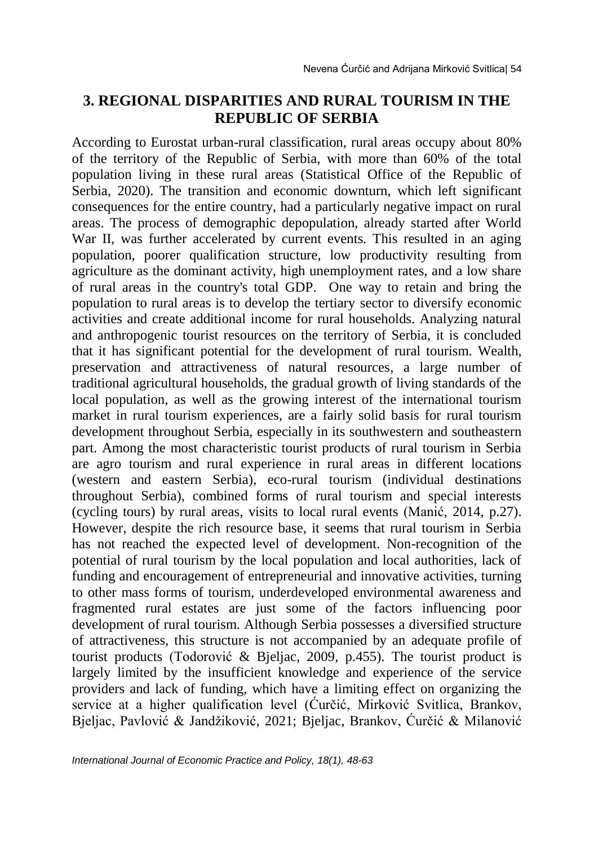# **3. REGIONAL DISPARITIES AND RURAL TOURISM IN THE REPUBLIC OF SERBIA**

According to Eurostat urban-rural classification, rural areas occupy about 80% of the territory of the Republic of Serbia, with more than 60% of the total population living in these rural areas (Statistical Office of the Republic of Serbia, 2020). The transition and economic downturn, which left significant consequences for the entire country, had a particularly negative impact on rural areas. The process of demographic depopulation, already started after World War II, was further accelerated by current events. This resulted in an aging population, poorer qualification structure, low productivity resulting from agriculture as the dominant activity, high unemployment rates, and a low share of rural areas in the country's total GDP. One way to retain and bring the population to rural areas is to develop the tertiary sector to diversify economic activities and create additional income for rural households. Analyzing natural and anthropogenic tourist resources on the territory of Serbia, it is concluded that it has significant potential for the development of rural tourism. Wealth, preservation and attractiveness of natural resources, a large number of traditional agricultural households, the gradual growth of living standards of the local population, as well as the growing interest of the international tourism market in rural tourism experiences, are a fairly solid basis for rural tourism development throughout Serbia, especially in its southwestern and southeastern part. Among the most characteristic tourist products of rural tourism in Serbia are agro tourism and rural experience in rural areas in different locations (western and eastern Serbia), eco-rural tourism (individual destinations throughout Serbia), combined forms of rural tourism and special interests (cycling tours) by rural areas, visits to local rural events (Manić, 2014, p.27). However, despite the rich resource base, it seems that rural tourism in Serbia has not reached the expected level of development. Non-recognition of the potential of rural tourism by the local population and local authorities, lack of funding and encouragement of entrepreneurial and innovative activities, turning to other mass forms of tourism, underdeveloped environmental awareness and fragmented rural estates are just some of the factors influencing poor development of rural tourism. Although Serbia possesses a diversified structure of attractiveness, this structure is not accompanied by an adequate profile of tourist products (Todorović & Bjeljac, 2009, p.455). The tourist product is largely limited by the insufficient knowledge and experience of the service providers and lack of funding, which have a limiting effect on organizing the service at a higher qualification level (Ćurčić, Mirković Svitlica, Brankov, Bjeljac, Pavlović & Jandžiković, 2021; Bjeljac, Brankov, Ćurčić & Milanović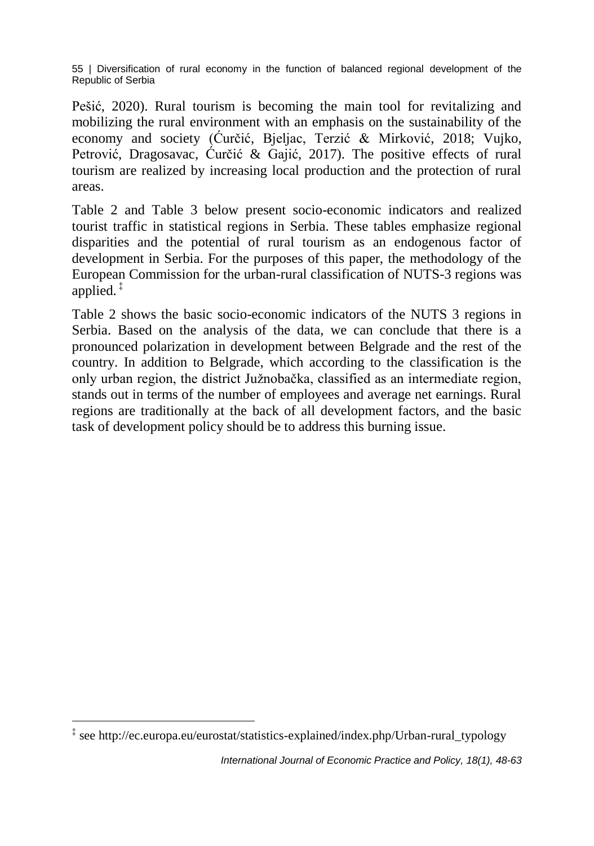Pešić, 2020). Rural tourism is becoming the main tool for revitalizing and mobilizing the rural environment with an emphasis on the sustainability of the economy and society (Ćurčić, Bjeljac, Terzić & Mirković, 2018; Vujko, Petrović, Dragosavac, Ćurčić & Gajić, 2017). The positive effects of rural tourism are realized by increasing local production and the protection of rural areas.

Table 2 and Table 3 below present socio-economic indicators and realized tourist traffic in statistical regions in Serbia. These tables emphasize regional disparities and the potential of rural tourism as an endogenous factor of development in Serbia. For the purposes of this paper, the methodology of the European Commission for the urban-rural classification of NUTS-3 regions was applied. ‡

Table 2 shows the basic socio-economic indicators of the NUTS 3 regions in Serbia. Based on the analysis of the data, we can conclude that there is a pronounced polarization in development between Belgrade and the rest of the country. In addition to Belgrade, which according to the classification is the only urban region, the district Južnobačka, classified as an intermediate region, stands out in terms of the number of employees and average net earnings. Rural regions are traditionally at the back of all development factors, and the basic task of development policy should be to address this burning issue.

 $\overline{\phantom{a}}$ ‡ see http://ec.europa.eu/eurostat/statistics-explained/index.php/Urban-rural\_typology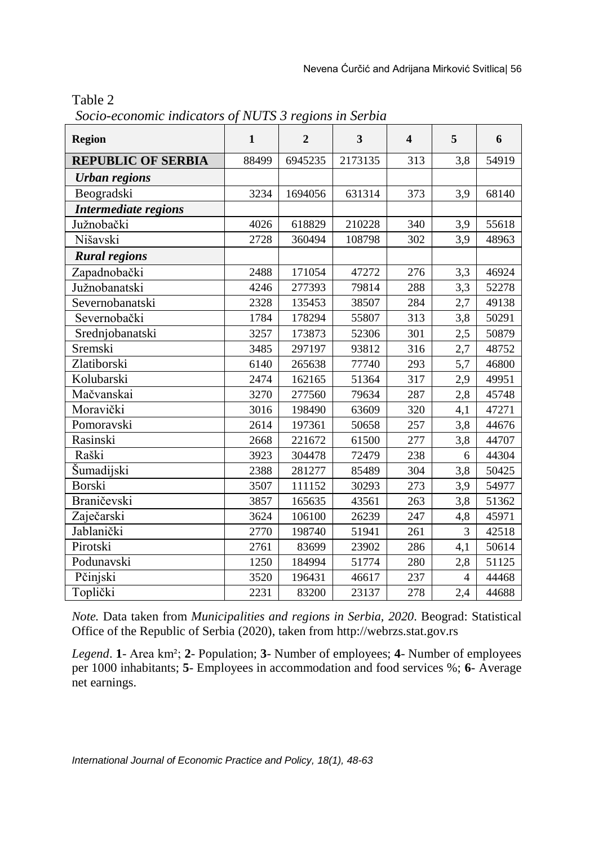| anie |  |
|------|--|
|------|--|

*Socio-economic indicators of NUTS 3 regions in Serbia*

| <b>Region</b>               | $\mathbf{1}$ | $\overline{2}$ | 3       | $\overline{\mathbf{4}}$ | 5              | 6     |
|-----------------------------|--------------|----------------|---------|-------------------------|----------------|-------|
| <b>REPUBLIC OF SERBIA</b>   | 88499        | 6945235        | 2173135 | 313                     | 3,8            | 54919 |
| <b>Urban regions</b>        |              |                |         |                         |                |       |
| Beogradski                  | 3234         | 1694056        | 631314  | 373                     | 3,9            | 68140 |
| <b>Intermediate regions</b> |              |                |         |                         |                |       |
| Južnobački                  | 4026         | 618829         | 210228  | 340                     | 3,9            | 55618 |
| Nišavski                    | 2728         | 360494         | 108798  | 302                     | 3,9            | 48963 |
| <b>Rural regions</b>        |              |                |         |                         |                |       |
| Zapadnobački                | 2488         | 171054         | 47272   | 276                     | 3,3            | 46924 |
| Južnobanatski               | 4246         | 277393         | 79814   | 288                     | 3,3            | 52278 |
| Severnobanatski             | 2328         | 135453         | 38507   | 284                     | 2,7            | 49138 |
| Severnobački                | 1784         | 178294         | 55807   | 313                     | 3,8            | 50291 |
| Srednjobanatski             | 3257         | 173873         | 52306   | 301                     | 2,5            | 50879 |
| Sremski                     | 3485         | 297197         | 93812   | 316                     | 2,7            | 48752 |
| Zlatiborski                 | 6140         | 265638         | 77740   | 293                     | 5,7            | 46800 |
| Kolubarski                  | 2474         | 162165         | 51364   | 317                     | 2,9            | 49951 |
| Mačvanskai                  | 3270         | 277560         | 79634   | 287                     | 2,8            | 45748 |
| Moravički                   | 3016         | 198490         | 63609   | 320                     | 4,1            | 47271 |
| Pomoravski                  | 2614         | 197361         | 50658   | 257                     | 3,8            | 44676 |
| Rasinski                    | 2668         | 221672         | 61500   | 277                     | 3,8            | 44707 |
| Raški                       | 3923         | 304478         | 72479   | 238                     | 6              | 44304 |
| Šumadijski                  | 2388         | 281277         | 85489   | 304                     | 3,8            | 50425 |
| Borski                      | 3507         | 111152         | 30293   | 273                     | 3,9            | 54977 |
| Braničevski                 | 3857         | 165635         | 43561   | 263                     | 3,8            | 51362 |
| Zaječarski                  | 3624         | 106100         | 26239   | 247                     | 4,8            | 45971 |
| Jablanički                  | 2770         | 198740         | 51941   | 261                     | 3              | 42518 |
| Pirotski                    | 2761         | 83699          | 23902   | 286                     | 4,1            | 50614 |
| Podunavski                  | 1250         | 184994         | 51774   | 280                     | 2,8            | 51125 |
| Pčinjski                    | 3520         | 196431         | 46617   | 237                     | $\overline{4}$ | 44468 |
| Toplički                    | 2231         | 83200          | 23137   | 278                     | 2,4            | 44688 |

*Note.* Data taken from *Municipalities and regions in Serbia, 2020*. Beograd: Statistical Office of the Republic of Serbia (2020), taken from http://webrzs.stat.gov.rs

*Legend*. **1**- Area km²; **2**- Population; **3**- Number of employees; **4**- Number of employees per 1000 inhabitants; **5**- Employees in accommodation and food services %; **6**- Average net earnings.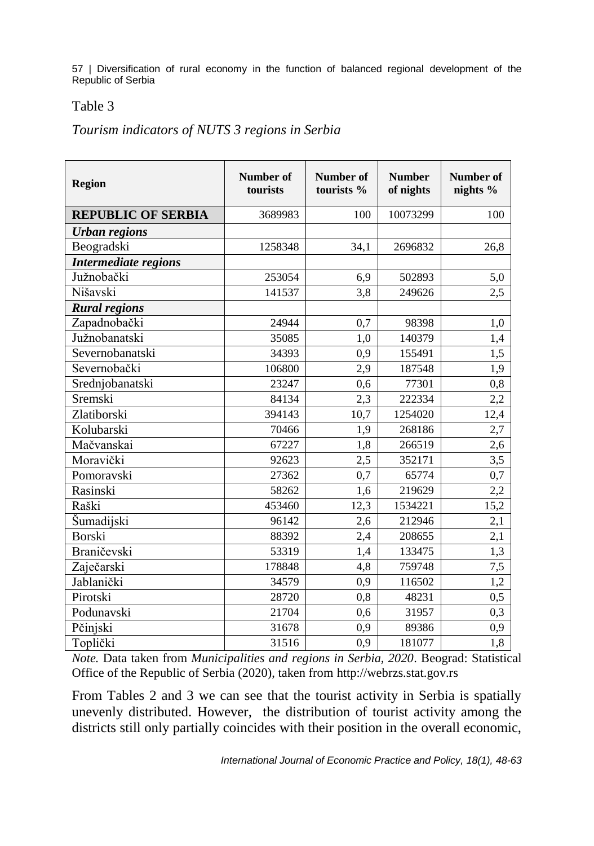#### Table 3

#### *Tourism indicators of NUTS 3 regions in Serbia*

| <b>Region</b>             | Number of<br>tourists | Number of<br>tourists % | <b>Number</b><br>of nights | Number of<br>nights % |
|---------------------------|-----------------------|-------------------------|----------------------------|-----------------------|
| <b>REPUBLIC OF SERBIA</b> | 3689983               | 100                     | 10073299                   | 100                   |
| <b>Urban regions</b>      |                       |                         |                            |                       |
| Beogradski                | 1258348               | 34,1                    | 2696832                    | 26,8                  |
| Intermediate regions      |                       |                         |                            |                       |
| Južnobački                | 253054                | 6,9                     | 502893                     | 5,0                   |
| Nišavski                  | 141537                | 3,8                     | 249626                     | 2,5                   |
| <b>Rural regions</b>      |                       |                         |                            |                       |
| Zapadnobački              | 24944                 | 0,7                     | 98398                      | 1,0                   |
| Južnobanatski             | 35085                 | 1,0                     | 140379                     | 1,4                   |
| Severnobanatski           | 34393                 | 0,9                     | 155491                     | 1,5                   |
| Severnobački              | 106800                | 2,9                     | 187548                     | 1,9                   |
| Srednjobanatski           | 23247                 | 0.6                     | 77301                      | 0,8                   |
| Sremski                   | 84134                 | 2,3                     | 222334                     | 2,2                   |
| Zlatiborski               | 394143                | 10,7                    | 1254020                    | 12,4                  |
| Kolubarski                | 70466                 | 1,9                     | 268186                     | 2,7                   |
| Mačvanskai                | 67227                 | 1,8                     | 266519                     | 2,6                   |
| Moravički                 | 92623                 | 2,5                     | 352171                     | 3,5                   |
| Pomoravski                | 27362                 | 0,7                     | 65774                      | 0,7                   |
| Rasinski                  | 58262                 | 1,6                     | 219629                     | 2,2                   |
| Raški                     | 453460                | 12,3                    | 1534221                    | 15,2                  |
| Šumadijski                | 96142                 | 2,6                     | 212946                     | 2,1                   |
| Borski                    | 88392                 | 2,4                     | 208655                     | 2,1                   |
| Braničevski               | 53319                 | 1,4                     | 133475                     | 1,3                   |
| Zaječarski                | 178848                | 4,8                     | 759748                     | 7,5                   |
| Jablanički                | 34579                 | 0,9                     | 116502                     | 1,2                   |
| Pirotski                  | 28720                 | 0,8                     | 48231                      | 0,5                   |
| Podunavski                | 21704                 | 0,6                     | 31957                      | 0,3                   |
| Pčinjski                  | 31678                 | 0,9                     | 89386                      | 0,9                   |
| Toplički                  | 31516                 | 0,9                     | 181077                     | 1,8                   |

*Note.* Data taken from *Municipalities and regions in Serbia, 2020*. Beograd: Statistical Office of the Republic of Serbia (2020), taken from http://webrzs.stat.gov.rs

From Tables 2 and 3 we can see that the tourist activity in Serbia is spatially unevenly distributed. However, the distribution of tourist activity among the districts still only partially coincides with their position in the overall economic,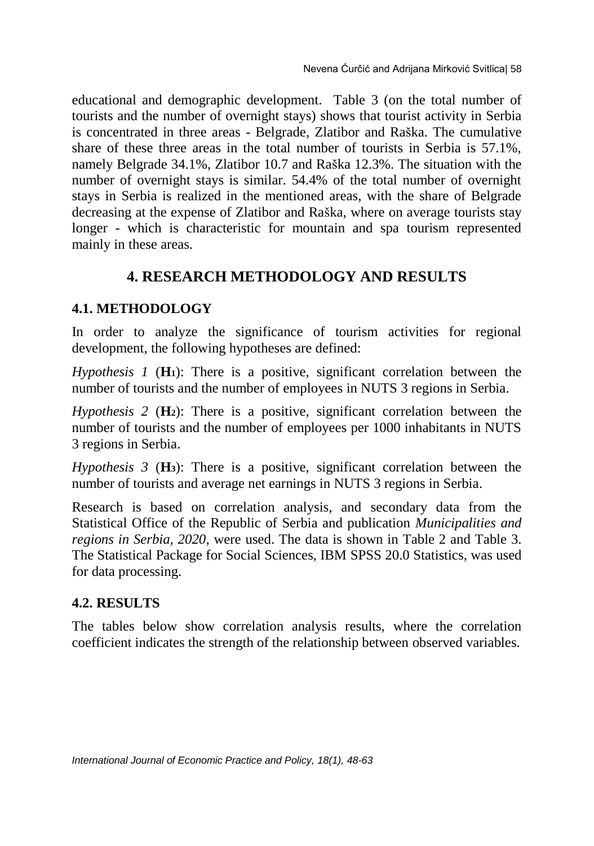educational and demographic development. Table 3 (on the total number of tourists and the number of overnight stays) shows that tourist activity in Serbia is concentrated in three areas - Belgrade, Zlatibor and Raška. The cumulative share of these three areas in the total number of tourists in Serbia is 57.1%, namely Belgrade 34.1%, Zlatibor 10.7 and Raška 12.3%. The situation with the number of overnight stays is similar. 54.4% of the total number of overnight stays in Serbia is realized in the mentioned areas, with the share of Belgrade decreasing at the expense of Zlatibor and Raška, where on average tourists stay longer - which is characteristic for mountain and spa tourism represented mainly in these areas.

# **4. RESEARCH METHODOLOGY AND RESULTS**

## **4.1. METHODOLOGY**

In order to analyze the significance of tourism activities for regional development, the following hypotheses are defined:

*Hypothesis 1* (**H1**): There is a positive, significant correlation between the number of tourists and the number of employees in NUTS 3 regions in Serbia.

*Hypothesis 2* (**H2**): There is a positive, significant correlation between the number of tourists and the number of employees per 1000 inhabitants in NUTS 3 regions in Serbia.

*Hypothesis 3* (**H3**): There is a positive, significant correlation between the number of tourists and average net earnings in NUTS 3 regions in Serbia.

Research is based on correlation analysis, and secondary data from the Statistical Office of the Republic of Serbia and publication *Municipalities and regions in Serbia, 2020,* were used. The data is shown in Table 2 and Table 3. The Statistical Package for Social Sciences, IBM SPSS 20.0 Statistics, was used for data processing.

### **4.2. RESULTS**

The tables below show correlation analysis results, where the correlation coefficient indicates the strength of the relationship between observed variables.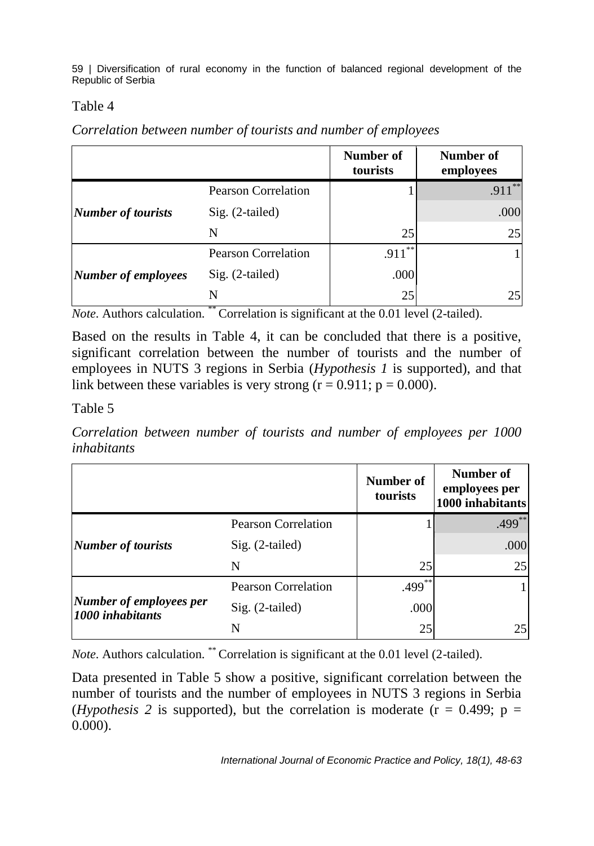### Table 4

*Correlation between number of tourists and number of employees*

|                            |                            | Number of<br>tourists | Number of<br>employees |
|----------------------------|----------------------------|-----------------------|------------------------|
|                            | <b>Pearson Correlation</b> |                       | <b>4 米米</b><br>.911    |
| <b>Number of tourists</b>  | $Sig. (2-tailed)$          |                       | .000                   |
|                            | N                          | 25                    | 25                     |
|                            | <b>Pearson Correlation</b> | **<br>.911            |                        |
| <b>Number of employees</b> | $Sig. (2-tailed)$          | .000                  |                        |
|                            | N                          | 25                    | 25                     |

*Note*. Authors calculation. \*\* Correlation is significant at the 0.01 level (2-tailed).

Based on the results in Table 4, it can be concluded that there is a positive, significant correlation between the number of tourists and the number of employees in NUTS 3 regions in Serbia (*Hypothesis 1* is supported), and that link between these variables is very strong  $(r = 0.911; p = 0.000)$ .

Table 5

*Correlation between number of tourists and number of employees per 1000 inhabitants*

|                                             |                            | Number of<br>tourists | Number of<br>employees per<br>1000 inhabitants |
|---------------------------------------------|----------------------------|-----------------------|------------------------------------------------|
| <b>Number of tourists</b>                   | <b>Pearson Correlation</b> |                       | $.499***$                                      |
|                                             | $Sig. (2-tailed)$          |                       | .000                                           |
|                                             | N                          | 25                    | 25                                             |
| Number of employees per<br>1000 inhabitants | <b>Pearson Correlation</b> | $.499***$             |                                                |
|                                             | $Sig. (2-tailed)$          | .000                  |                                                |
|                                             | N                          | 25                    | 25                                             |

*Note*. Authors calculation. \*\* Correlation is significant at the 0.01 level (2-tailed).

Data presented in Table 5 show a positive, significant correlation between the number of tourists and the number of employees in NUTS 3 regions in Serbia (*Hypothesis 2* is supported), but the correlation is moderate ( $r = 0.499$ ;  $p =$ 0.000).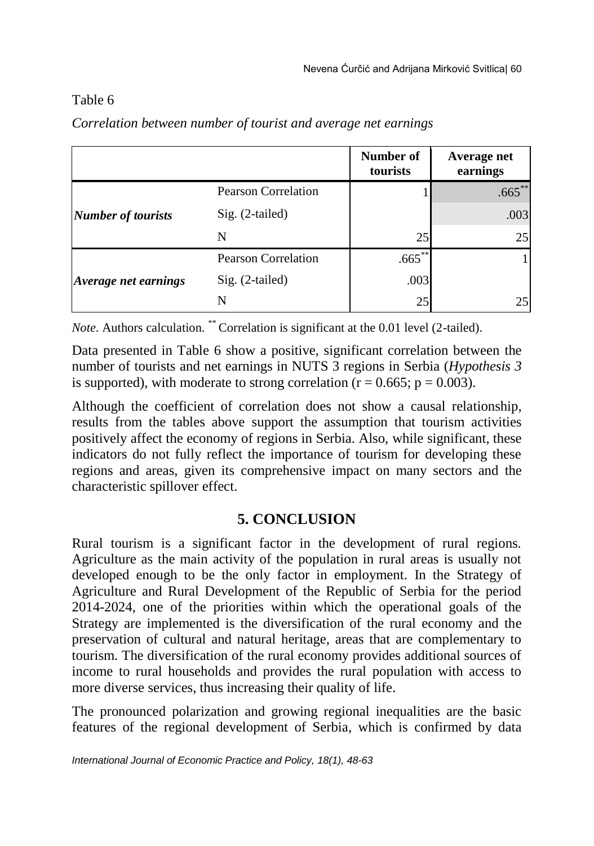## Table 6

|                           |                            | Number of<br>tourists | Average net<br>earnings |
|---------------------------|----------------------------|-----------------------|-------------------------|
|                           | <b>Pearson Correlation</b> |                       | $.665***$               |
| <b>Number of tourists</b> | Sig. (2-tailed)            |                       | .003                    |
|                           | N                          | 25                    | 25                      |
|                           | <b>Pearson Correlation</b> | $.665***$             |                         |
| Average net earnings      | $Sig. (2-tailed)$          | .003                  |                         |
|                           | N                          | 25                    | 25                      |

*Correlation between number of tourist and average net earnings*

*Note*. Authors calculation.<sup>\*\*</sup> Correlation is significant at the 0.01 level (2-tailed).

Data presented in Table 6 show a positive, significant correlation between the number of tourists and net earnings in NUTS 3 regions in Serbia (*Hypothesis 3* is supported), with moderate to strong correlation ( $r = 0.665$ ;  $p = 0.003$ ).

Although the coefficient of correlation does not show a causal relationship, results from the tables above support the assumption that tourism activities positively affect the economy of regions in Serbia. Also, while significant, these indicators do not fully reflect the importance of tourism for developing these regions and areas, given its comprehensive impact on many sectors and the characteristic spillover effect.

# **5. CONCLUSION**

Rural tourism is a significant factor in the development of rural regions. Agriculture as the main activity of the population in rural areas is usually not developed enough to be the only factor in employment. In the Strategy of Agriculture and Rural Development of the Republic of Serbia for the period 2014-2024, one of the priorities within which the operational goals of the Strategy are implemented is the diversification of the rural economy and the preservation of cultural and natural heritage, areas that are complementary to tourism. The diversification of the rural economy provides additional sources of income to rural households and provides the rural population with access to more diverse services, thus increasing their quality of life.

The pronounced polarization and growing regional inequalities are the basic features of the regional development of Serbia, which is confirmed by data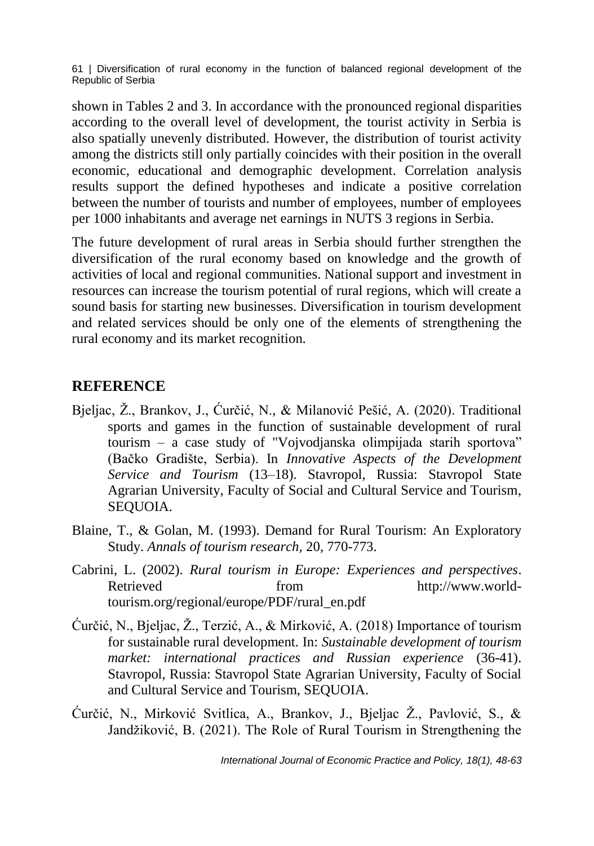shown in Tables 2 and 3. In accordance with the pronounced regional disparities according to the overall level of development, the tourist activity in Serbia is also spatially unevenly distributed. However, the distribution of tourist activity among the districts still only partially coincides with their position in the overall economic, educational and demographic development. Correlation analysis results support the defined hypotheses and indicate a positive correlation between the number of tourists and number of employees, number of employees per 1000 inhabitants and average net earnings in NUTS 3 regions in Serbia.

The future development of rural areas in Serbia should further strengthen the diversification of the rural economy based on knowledge and the growth of activities of local and regional communities. National support and investment in resources can increase the tourism potential of rural regions, which will create a sound basis for starting new businesses. Diversification in tourism development and related services should be only one of the elements of strengthening the rural economy and its market recognition.

# **REFERENCE**

- Bjeljac, Ž., Brankov, J., Ćurčić, N., & Milanović Pešić, A. (2020). Traditional sports and games in the function of sustainable development of rural tourism – a case study of "Vojvodjanska olimpijada starih sportova" (Bačko Gradište, Serbia). In *Innovative Aspects of the Development Service and Tourism* (13–18). Stavropol, Russia: Stavropol State Agrarian University, Faculty of Social and Cultural Service and Tourism, SEQUOIA.
- Blaine, T., & Golan, M. (1993). Demand for Rural Tourism: An Exploratory Study. *Annals of tourism research,* 20, 770-773.
- Cabrini, L. (2002). *Rural tourism in Europe: Experiences and perspectives*. Retrieved from [http://www.world](http://www.world-tourism.org/regional/europe/PDF/rural_en.pdf)[tourism.org/regional/europe/PDF/rural\\_en.pdf](http://www.world-tourism.org/regional/europe/PDF/rural_en.pdf)
- Ćurčić, N., Bjeljac, Ž., Terzić, A., & Mirković, A. (2018) Importance of tourism for sustainable rural development. In: *Sustainable development of tourism market: international practices and Russian experience* (36-41). Stavropol, Russia: Stavropol State Agrarian University, Faculty of Social and Cultural Service and Tourism, SEQUOIA.
- Ćurčić, N., Mirković Svitlica, A., Brankov, J., Bjeljac Ž., Pavlović, S., & Jandžiković, B. (2021). The Role of Rural Tourism in Strengthening the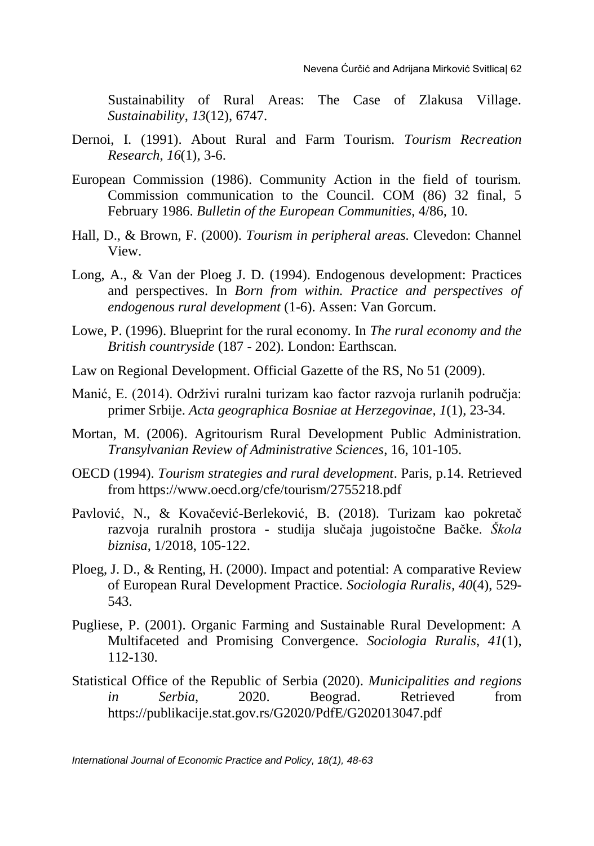Sustainability of Rural Areas: The Case of Zlakusa Village. *Sustainability*, *13*(12), 6747.

- Dernoi, I. (1991). About Rural and Farm Tourism. *Tourism Recreation Research*, *16*(1), 3-6.
- European Commission (1986). Community Action in the field of tourism. Commission communication to the Council. COM (86) 32 final, 5 February 1986. *Bulletin of the European Communities*, 4/86, 10.
- Hall, D., & Brown, F. (2000). *Tourism in peripheral areas.* Clevedon: Channel View.
- Long, A., & Van der Ploeg J. D. (1994). Endogenous development: Practices and perspectives. In *Born from within. Practice and perspectives of endogenous rural development* (1-6). Assen: Van Gorcum.
- Lowe, P. (1996). Blueprint for the rural economy. In *The rural economy and the British countryside* (187 - 202)*.* London: Earthscan.
- Law on Regional Development. Official Gazette of the RS, No 51 (2009).
- Manić, E. (2014). Održivi ruralni turizam kao factor razvoja rurlanih područja: primer Srbije. *Acta geographica Bosniae at Herzegovinae*, *1*(1), 23-34.
- Mortan, M. (2006). Agritourism Rural Development Public Administration. *Transylvanian Review of Administrative Sciences*, 16, 101-105.
- OECD (1994). *Tourism strategies and rural development*. Paris, p.14. Retrieved from https://www.oecd.org/cfe/tourism/2755218.pdf
- Pavlović, N., & Kovačević-Berleković, B. (2018). Turizam kao pokretač razvoja ruralnih prostora - studija slučaja jugoistočne Bačke. *Škola biznisa*, 1/2018, 105-122.
- Ploeg, J. D., & Renting, H. (2000). Impact and potential: A comparative Review of European Rural Development Practice. *Sociologia Ruralis, 40*(4), 529- 543.
- Pugliese, P. (2001). Organic Farming and Sustainable Rural Development: A Multifaceted and Promising Convergence. *Sociologia Ruralis*, *41*(1), 112-130.
- Statistical Office of the Republic of Serbia (2020). *Municipalities and regions in Serbia*, 2020. Beograd. Retrieved from https://publikacije.stat.gov.rs/G2020/PdfE/G202013047.pdf

*International Journal of Economic Practice and Policy, 18(1), 48-63*